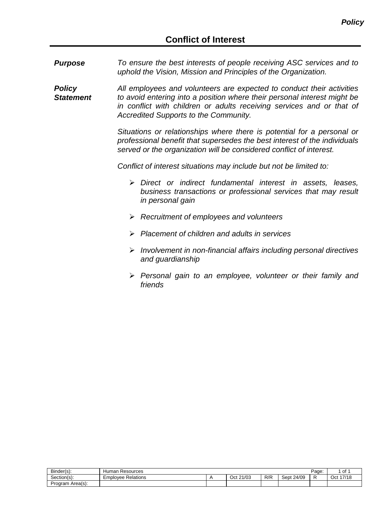*Purpose To ensure the best interests of people receiving ASC services and to uphold the Vision, Mission and Principles of the Organization.*

*Policy Statement All employees and volunteers are expected to conduct their activities to avoid entering into a position where their personal interest might be in conflict with children or adults receiving services and or that of Accredited Supports to the Community.*

> *Situations or relationships where there is potential for a personal or professional benefit that supersedes the best interest of the individuals served or the organization will be considered conflict of interest.*

*Conflict of interest situations may include but not be limited to:*

- *Direct or indirect fundamental interest in assets, leases, business transactions or professional services that may result in personal gain*
- *Recruitment of employees and volunteers*
- *Placement of children and adults in services*
- *Involvement in non-financial affairs including personal directives and guardianship*
- *Personal gain to an employee, volunteer or their family and friends*

| Binder(s):       | Resources<br>Human        |              |     |               | Page: | 01           |
|------------------|---------------------------|--------------|-----|---------------|-------|--------------|
| Section(s):      | <b>Employee Relations</b> | 21/03<br>Oct | R/R | Sept<br>24/09 | ∽     | 47/40<br>Oct |
| Program Area(s): |                           |              |     |               |       |              |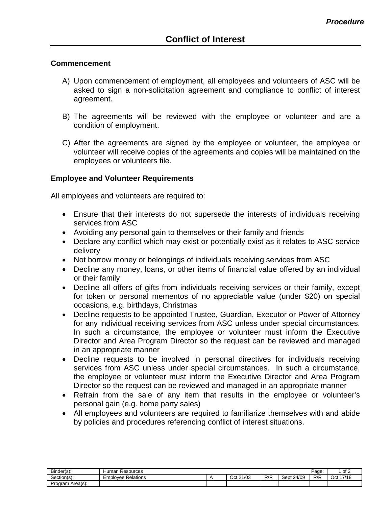## **Commencement**

- A) Upon commencement of employment, all employees and volunteers of ASC will be asked to sign a non-solicitation agreement and compliance to conflict of interest agreement.
- B) The agreements will be reviewed with the employee or volunteer and are a condition of employment.
- C) After the agreements are signed by the employee or volunteer, the employee or volunteer will receive copies of the agreements and copies will be maintained on the employees or volunteers file.

## **Employee and Volunteer Requirements**

All employees and volunteers are required to:

- Ensure that their interests do not supersede the interests of individuals receiving services from ASC
- Avoiding any personal gain to themselves or their family and friends
- Declare any conflict which may exist or potentially exist as it relates to ASC service delivery
- Not borrow money or belongings of individuals receiving services from ASC
- Decline any money, loans, or other items of financial value offered by an individual or their family
- Decline all offers of gifts from individuals receiving services or their family, except for token or personal mementos of no appreciable value (under \$20) on special occasions, e.g. birthdays, Christmas
- Decline requests to be appointed Trustee, Guardian, Executor or Power of Attorney for any individual receiving services from ASC unless under special circumstances. In such a circumstance, the employee or volunteer must inform the Executive Director and Area Program Director so the request can be reviewed and managed in an appropriate manner
- Decline requests to be involved in personal directives for individuals receiving services from ASC unless under special circumstances. In such a circumstance, the employee or volunteer must inform the Executive Director and Area Program Director so the request can be reviewed and managed in an appropriate manner
- Refrain from the sale of any item that results in the employee or volunteer's personal gain (e.g. home party sales)
- All employees and volunteers are required to familiarize themselves with and abide by policies and procedures referencing conflict of interest situations.

| - -<br>Binder(s):     | Resources<br>Human    |  |              |     |               |     | of 2         |
|-----------------------|-----------------------|--|--------------|-----|---------------|-----|--------------|
| $\sim$<br>Section(s): | Relations<br>Emplovee |  | 21/03<br>Oct | R/R | 24/09<br>Sept | R/R | 47140<br>Oct |
| Program Area(s):      |                       |  |              |     |               |     |              |